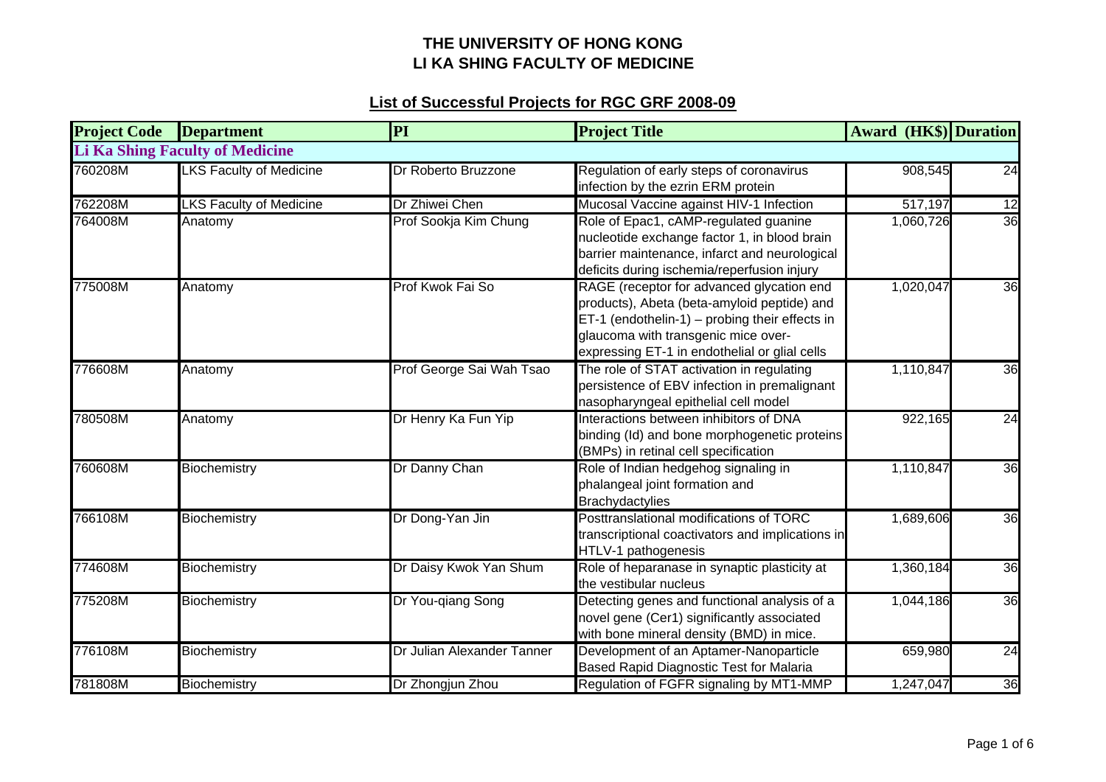| <b>Project Code</b> | <b>Department</b>                      | PI                         | <b>Project Title</b>                                                                                                                                                                                                               | <b>Award (HK\$)</b> Duration |    |
|---------------------|----------------------------------------|----------------------------|------------------------------------------------------------------------------------------------------------------------------------------------------------------------------------------------------------------------------------|------------------------------|----|
|                     | <b>Li Ka Shing Faculty of Medicine</b> |                            |                                                                                                                                                                                                                                    |                              |    |
| 760208M             | <b>LKS Faculty of Medicine</b>         | Dr Roberto Bruzzone        | Regulation of early steps of coronavirus<br>infection by the ezrin ERM protein                                                                                                                                                     | 908,545                      | 24 |
| 762208M             | <b>LKS Faculty of Medicine</b>         | Dr Zhiwei Chen             | Mucosal Vaccine against HIV-1 Infection                                                                                                                                                                                            | 517,197                      | 12 |
| 764008M             | Anatomy                                | Prof Sookja Kim Chung      | Role of Epac1, cAMP-regulated guanine<br>nucleotide exchange factor 1, in blood brain<br>barrier maintenance, infarct and neurological<br>deficits during ischemia/reperfusion injury                                              | 1,060,726                    | 36 |
| 775008M             | Anatomy                                | Prof Kwok Fai So           | RAGE (receptor for advanced glycation end<br>products), Abeta (beta-amyloid peptide) and<br>ET-1 (endothelin-1) - probing their effects in<br>glaucoma with transgenic mice over-<br>expressing ET-1 in endothelial or glial cells | 1,020,047                    | 36 |
| 776608M             | Anatomy                                | Prof George Sai Wah Tsao   | The role of STAT activation in regulating<br>persistence of EBV infection in premalignant<br>nasopharyngeal epithelial cell model                                                                                                  | 1,110,847                    | 36 |
| 780508M             | Anatomy                                | Dr Henry Ka Fun Yip        | Interactions between inhibitors of DNA<br>binding (Id) and bone morphogenetic proteins<br>(BMPs) in retinal cell specification                                                                                                     | 922,165                      | 24 |
| 760608M             | Biochemistry                           | Dr Danny Chan              | Role of Indian hedgehog signaling in<br>phalangeal joint formation and<br><b>Brachydactylies</b>                                                                                                                                   | 1,110,847                    | 36 |
| 766108M             | Biochemistry                           | Dr Dong-Yan Jin            | Posttranslational modifications of TORC<br>transcriptional coactivators and implications in<br>HTLV-1 pathogenesis                                                                                                                 | 1,689,606                    | 36 |
| 774608M             | Biochemistry                           | Dr Daisy Kwok Yan Shum     | Role of heparanase in synaptic plasticity at<br>the vestibular nucleus                                                                                                                                                             | 1,360,184                    | 36 |
| 775208M             | Biochemistry                           | Dr You-qiang Song          | Detecting genes and functional analysis of a<br>novel gene (Cer1) significantly associated<br>with bone mineral density (BMD) in mice.                                                                                             | 1,044,186                    | 36 |
| 776108M             | Biochemistry                           | Dr Julian Alexander Tanner | Development of an Aptamer-Nanoparticle<br>Based Rapid Diagnostic Test for Malaria                                                                                                                                                  | 659,980                      | 24 |
| 781808M             | Biochemistry                           | Dr Zhongjun Zhou           | Regulation of FGFR signaling by MT1-MMP                                                                                                                                                                                            | 1,247,047                    | 36 |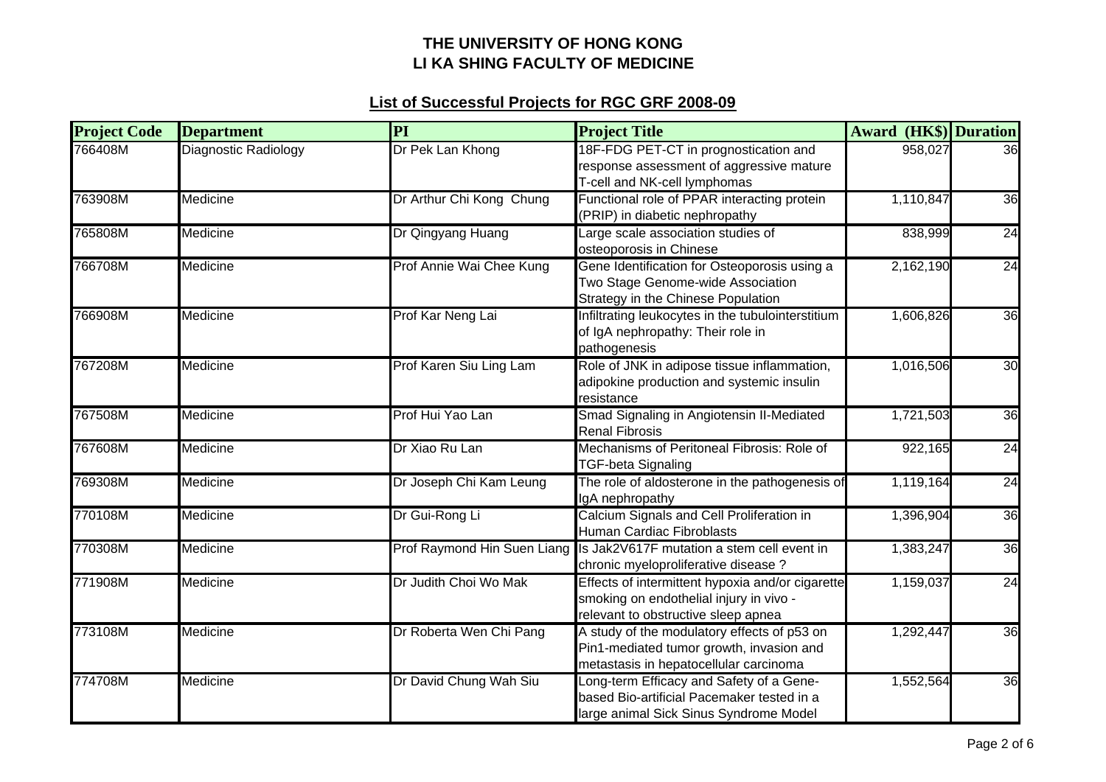| <b>Project Code</b> | <b>Department</b>    | PI                          | <b>Project Title</b>                                                                                                               | <b>Award (HK\$)</b> Duration |    |
|---------------------|----------------------|-----------------------------|------------------------------------------------------------------------------------------------------------------------------------|------------------------------|----|
| 766408M             | Diagnostic Radiology | Dr Pek Lan Khong            | 18F-FDG PET-CT in prognostication and<br>response assessment of aggressive mature<br>T-cell and NK-cell lymphomas                  | 958,027                      | 36 |
| 763908M             | Medicine             | Dr Arthur Chi Kong Chung    | Functional role of PPAR interacting protein<br>(PRIP) in diabetic nephropathy                                                      | 1,110,847                    | 36 |
| 765808M             | Medicine             | Dr Qingyang Huang           | Large scale association studies of<br>osteoporosis in Chinese                                                                      | 838,999                      | 24 |
| 766708M             | Medicine             | Prof Annie Wai Chee Kung    | Gene Identification for Osteoporosis using a<br>Two Stage Genome-wide Association<br>Strategy in the Chinese Population            | 2,162,190                    | 24 |
| 766908M             | Medicine             | Prof Kar Neng Lai           | Infiltrating leukocytes in the tubulointerstitium<br>of IgA nephropathy: Their role in<br>pathogenesis                             | 1,606,826                    | 36 |
| 767208M             | Medicine             | Prof Karen Siu Ling Lam     | Role of JNK in adipose tissue inflammation,<br>adipokine production and systemic insulin<br>resistance                             | 1,016,506                    | 30 |
| 767508M             | Medicine             | Prof Hui Yao Lan            | Smad Signaling in Angiotensin II-Mediated<br><b>Renal Fibrosis</b>                                                                 | 1,721,503                    | 36 |
| 767608M             | Medicine             | Dr Xiao Ru Lan              | Mechanisms of Peritoneal Fibrosis: Role of<br><b>TGF-beta Signaling</b>                                                            | 922,165                      | 24 |
| 769308M             | Medicine             | Dr Joseph Chi Kam Leung     | The role of aldosterone in the pathogenesis of<br>IgA nephropathy                                                                  | 1,119,164                    | 24 |
| 770108M             | Medicine             | Dr Gui-Rong Li              | Calcium Signals and Cell Proliferation in<br>Human Cardiac Fibroblasts                                                             | 1,396,904                    | 36 |
| 770308M             | Medicine             | Prof Raymond Hin Suen Liang | Is Jak2V617F mutation a stem cell event in<br>chronic myeloproliferative disease ?                                                 | 1,383,247                    | 36 |
| 771908M             | Medicine             | Dr Judith Choi Wo Mak       | Effects of intermittent hypoxia and/or cigarette<br>smoking on endothelial injury in vivo -<br>relevant to obstructive sleep apnea | 1,159,037                    | 24 |
| 773108M             | Medicine             | Dr Roberta Wen Chi Pang     | A study of the modulatory effects of p53 on<br>Pin1-mediated tumor growth, invasion and<br>metastasis in hepatocellular carcinoma  | 1,292,447                    | 36 |
| 774708M             | Medicine             | Dr David Chung Wah Siu      | Long-term Efficacy and Safety of a Gene-<br>based Bio-artificial Pacemaker tested in a<br>large animal Sick Sinus Syndrome Model   | 1,552,564                    | 36 |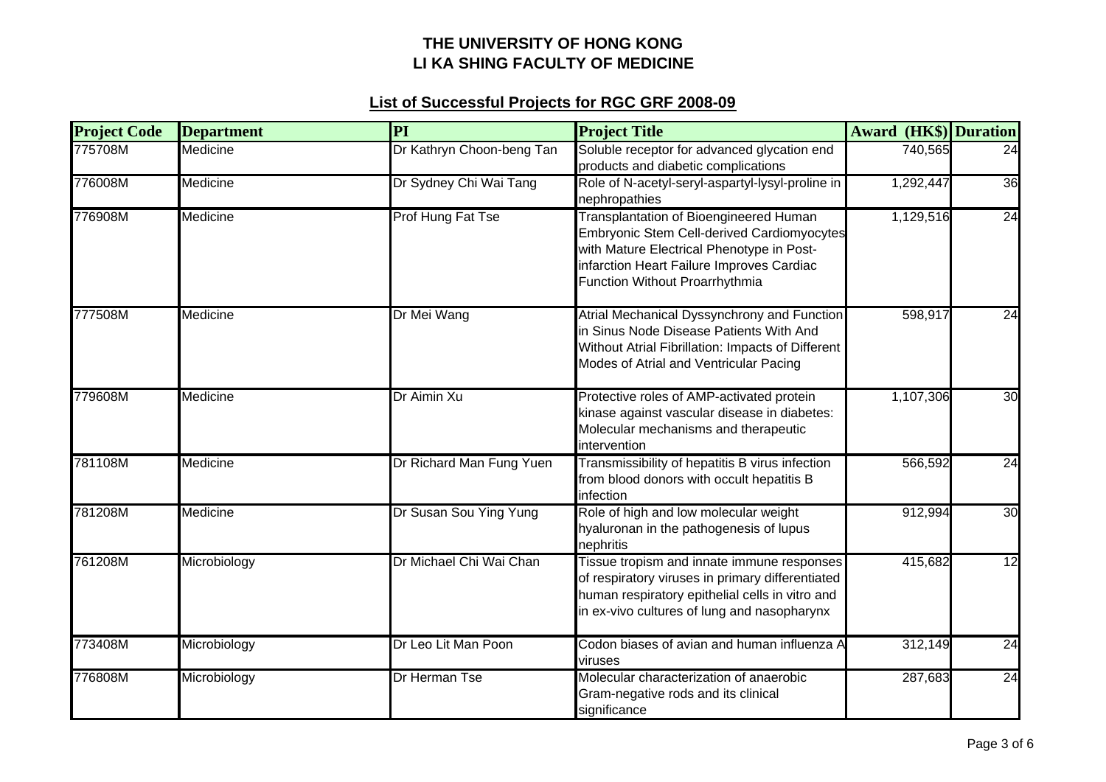| <b>Project Code</b> | <b>Department</b> | PI                        | <b>Project Title</b>                                                                                                                                                                                                    | <b>Award (HK\$)</b> Duration |    |
|---------------------|-------------------|---------------------------|-------------------------------------------------------------------------------------------------------------------------------------------------------------------------------------------------------------------------|------------------------------|----|
| 775708M             | Medicine          | Dr Kathryn Choon-beng Tan | Soluble receptor for advanced glycation end<br>products and diabetic complications                                                                                                                                      | 740,565                      | 24 |
| 776008M             | Medicine          | Dr Sydney Chi Wai Tang    | Role of N-acetyl-seryl-aspartyl-lysyl-proline in<br>nephropathies                                                                                                                                                       | 1,292,447                    | 36 |
| 776908M             | Medicine          | Prof Hung Fat Tse         | Transplantation of Bioengineered Human<br><b>Embryonic Stem Cell-derived Cardiomyocytes</b><br>with Mature Electrical Phenotype in Post-<br>infarction Heart Failure Improves Cardiac<br>Function Without Proarrhythmia | 1,129,516                    | 24 |
| 777508M             | Medicine          | Dr Mei Wang               | Atrial Mechanical Dyssynchrony and Function<br>in Sinus Node Disease Patients With And<br>Without Atrial Fibrillation: Impacts of Different<br>Modes of Atrial and Ventricular Pacing                                   | 598,917                      | 24 |
| 779608M             | Medicine          | Dr Aimin Xu               | Protective roles of AMP-activated protein<br>kinase against vascular disease in diabetes:<br>Molecular mechanisms and therapeutic<br>intervention                                                                       | 1,107,306                    | 30 |
| 781108M             | Medicine          | Dr Richard Man Fung Yuen  | Transmissibility of hepatitis B virus infection<br>from blood donors with occult hepatitis B<br>infection                                                                                                               | 566,592                      | 24 |
| 781208M             | Medicine          | Dr Susan Sou Ying Yung    | Role of high and low molecular weight<br>hyaluronan in the pathogenesis of lupus<br>nephritis                                                                                                                           | 912,994                      | 30 |
| 761208M             | Microbiology      | Dr Michael Chi Wai Chan   | Tissue tropism and innate immune responses<br>of respiratory viruses in primary differentiated<br>human respiratory epithelial cells in vitro and<br>in ex-vivo cultures of lung and nasopharynx                        | 415,682                      | 12 |
| 773408M             | Microbiology      | Dr Leo Lit Man Poon       | Codon biases of avian and human influenza A<br>viruses                                                                                                                                                                  | 312,149                      | 24 |
| 776808M             | Microbiology      | Dr Herman Tse             | Molecular characterization of anaerobic<br>Gram-negative rods and its clinical<br>significance                                                                                                                          | 287,683                      | 24 |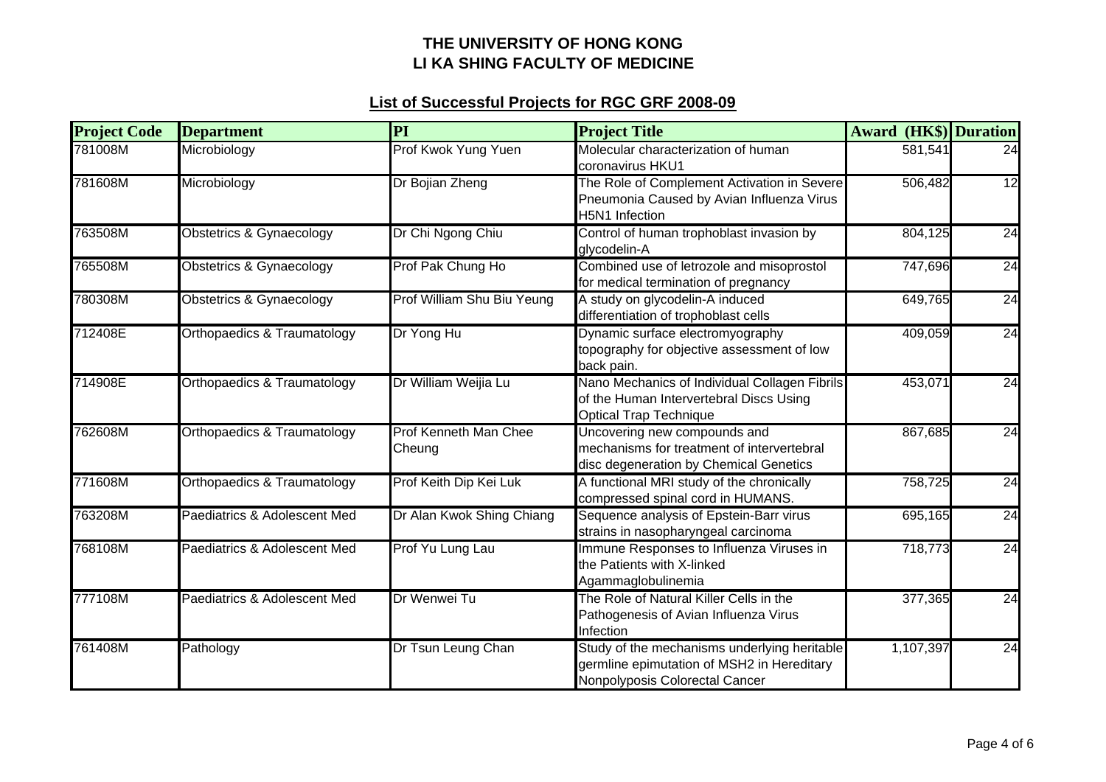| <b>Project Code</b> | <b>Department</b>            | PI                              | <b>Project Title</b>                                                                                                         | <b>Award (HK\$)</b> Duration |                 |
|---------------------|------------------------------|---------------------------------|------------------------------------------------------------------------------------------------------------------------------|------------------------------|-----------------|
| 781008M             | Microbiology                 | Prof Kwok Yung Yuen             | Molecular characterization of human<br>coronavirus HKU1                                                                      | 581,541                      | 24              |
| 781608M             | Microbiology                 | Dr Bojian Zheng                 | The Role of Complement Activation in Severe<br>Pneumonia Caused by Avian Influenza Virus<br>H5N1 Infection                   | 506,482                      | $\overline{12}$ |
| 763508M             | Obstetrics & Gynaecology     | Dr Chi Ngong Chiu               | Control of human trophoblast invasion by<br>glycodelin-A                                                                     | 804,125                      | 24              |
| 765508M             | Obstetrics & Gynaecology     | Prof Pak Chung Ho               | Combined use of letrozole and misoprostol<br>for medical termination of pregnancy                                            | 747,696                      | 24              |
| 780308M             | Obstetrics & Gynaecology     | Prof William Shu Biu Yeung      | A study on glycodelin-A induced<br>differentiation of trophoblast cells                                                      | 649,765                      | 24              |
| 712408E             | Orthopaedics & Traumatology  | Dr Yong Hu                      | Dynamic surface electromyography<br>topography for objective assessment of low<br>back pain.                                 | 409,059                      | 24              |
| 714908E             | Orthopaedics & Traumatology  | Dr William Weijia Lu            | Nano Mechanics of Individual Collagen Fibrils<br>of the Human Intervertebral Discs Using<br><b>Optical Trap Technique</b>    | 453,071                      | 24              |
| 762608M             | Orthopaedics & Traumatology  | Prof Kenneth Man Chee<br>Cheung | Uncovering new compounds and<br>mechanisms for treatment of intervertebral<br>disc degeneration by Chemical Genetics         | 867,685                      | 24              |
| 771608M             | Orthopaedics & Traumatology  | Prof Keith Dip Kei Luk          | A functional MRI study of the chronically<br>compressed spinal cord in HUMANS.                                               | 758,725                      | 24              |
| 763208M             | Paediatrics & Adolescent Med | Dr Alan Kwok Shing Chiang       | Sequence analysis of Epstein-Barr virus<br>strains in nasopharyngeal carcinoma                                               | 695,165                      | 24              |
| 768108M             | Paediatrics & Adolescent Med | Prof Yu Lung Lau                | Immune Responses to Influenza Viruses in<br>the Patients with X-linked<br>Agammaglobulinemia                                 | 718,773                      | 24              |
| 777108M             | Paediatrics & Adolescent Med | Dr Wenwei Tu                    | The Role of Natural Killer Cells in the<br>Pathogenesis of Avian Influenza Virus<br>Infection                                | 377,365                      | 24              |
| 761408M             | Pathology                    | Dr Tsun Leung Chan              | Study of the mechanisms underlying heritable<br>germline epimutation of MSH2 in Hereditary<br>Nonpolyposis Colorectal Cancer | 1,107,397                    | 24              |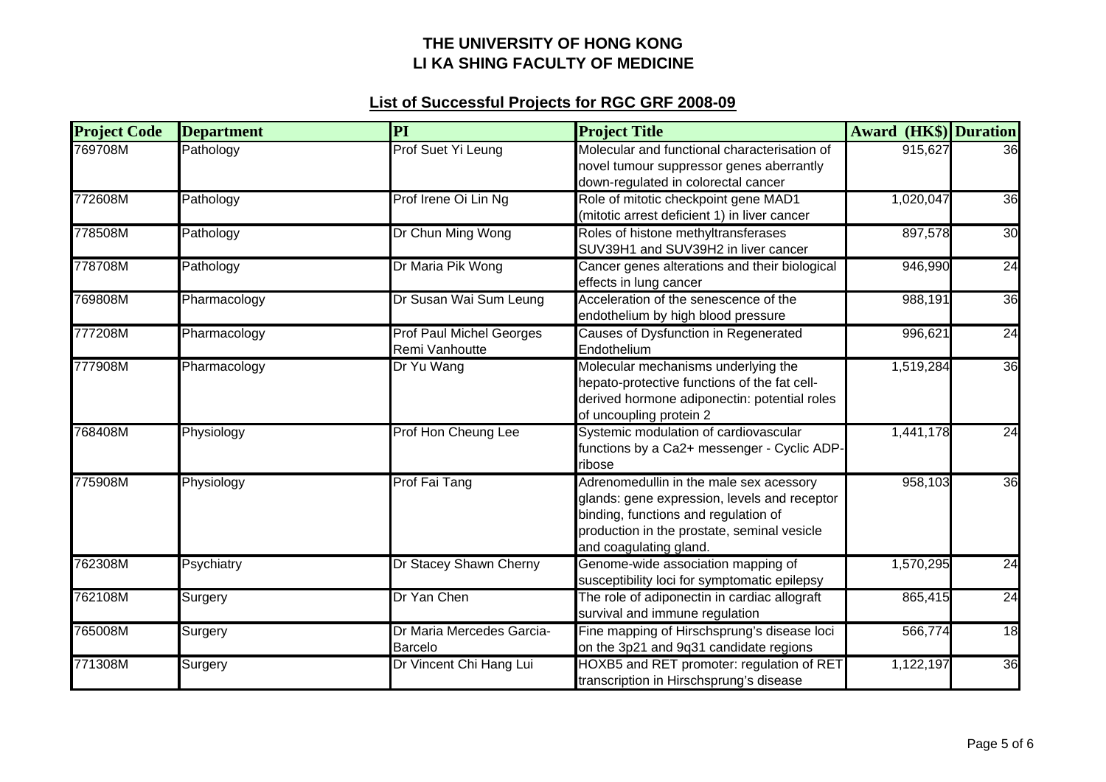| <b>Project Code</b> | <b>Department</b> | PI                                                | <b>Project Title</b>                                                                                                                                                                                     | <b>Award (HK\$)</b> Duration |    |
|---------------------|-------------------|---------------------------------------------------|----------------------------------------------------------------------------------------------------------------------------------------------------------------------------------------------------------|------------------------------|----|
| 769708M             | Pathology         | Prof Suet Yi Leung                                | Molecular and functional characterisation of<br>novel tumour suppressor genes aberrantly<br>down-regulated in colorectal cancer                                                                          | 915,627                      | 36 |
| 772608M             | Pathology         | Prof Irene Oi Lin Ng                              | Role of mitotic checkpoint gene MAD1<br>(mitotic arrest deficient 1) in liver cancer                                                                                                                     | 1,020,047                    | 36 |
| 778508M             | Pathology         | Dr Chun Ming Wong                                 | Roles of histone methyltransferases<br>SUV39H1 and SUV39H2 in liver cancer                                                                                                                               | 897,578                      | 30 |
| 778708M             | Pathology         | Dr Maria Pik Wong                                 | Cancer genes alterations and their biological<br>effects in lung cancer                                                                                                                                  | 946,990                      | 24 |
| 769808M             | Pharmacology      | Dr Susan Wai Sum Leung                            | Acceleration of the senescence of the<br>endothelium by high blood pressure                                                                                                                              | 988,191                      | 36 |
| 777208M             | Pharmacology      | <b>Prof Paul Michel Georges</b><br>Remi Vanhoutte | Causes of Dysfunction in Regenerated<br>Endothelium                                                                                                                                                      | 996,621                      | 24 |
| 777908M             | Pharmacology      | Dr Yu Wang                                        | Molecular mechanisms underlying the<br>hepato-protective functions of the fat cell-<br>derived hormone adiponectin: potential roles<br>of uncoupling protein 2                                           | 1,519,284                    | 36 |
| 768408M             | Physiology        | Prof Hon Cheung Lee                               | Systemic modulation of cardiovascular<br>functions by a Ca2+ messenger - Cyclic ADP-<br>ribose                                                                                                           | 1,441,178                    | 24 |
| 775908M             | Physiology        | <b>Prof Fai Tang</b>                              | Adrenomedullin in the male sex acessory<br>glands: gene expression, levels and receptor<br>binding, functions and regulation of<br>production in the prostate, seminal vesicle<br>and coagulating gland. | 958,103                      | 36 |
| 762308M             | Psychiatry        | Dr Stacey Shawn Cherny                            | Genome-wide association mapping of<br>susceptibility loci for symptomatic epilepsy                                                                                                                       | 1,570,295                    | 24 |
| 762108M             | Surgery           | Dr Yan Chen                                       | The role of adiponectin in cardiac allograft<br>survival and immune regulation                                                                                                                           | 865,415                      | 24 |
| 765008M             | Surgery           | Dr Maria Mercedes Garcia-<br><b>Barcelo</b>       | Fine mapping of Hirschsprung's disease loci<br>on the 3p21 and 9q31 candidate regions                                                                                                                    | 566,774                      | 18 |
| 771308M             | Surgery           | Dr Vincent Chi Hang Lui                           | HOXB5 and RET promoter: regulation of RET<br>transcription in Hirschsprung's disease                                                                                                                     | 1,122,197                    | 36 |